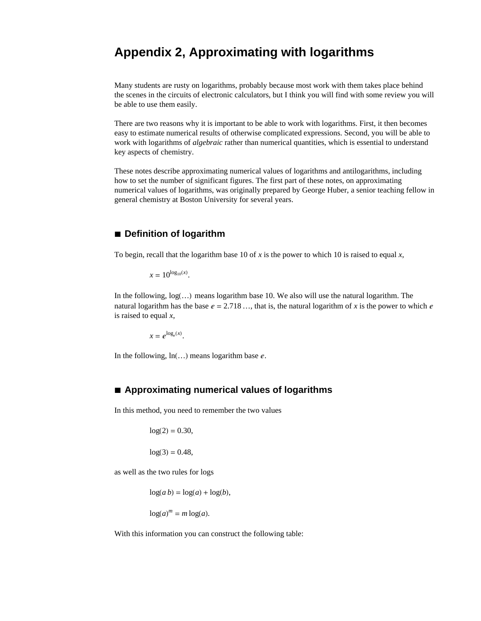# **Appendix 2, Approximating with logarithms**

Many students are rusty on logarithms, probably because most work with them takes place behind the scenes in the circuits of electronic calculators, but I think you will find with some review you will be able to use them easily.

There are two reasons why it is important to be able to work with logarithms. First, it then becomes easy to estimate numerical results of otherwise complicated expressions. Second, you will be able to work with logarithms of *algebraic* rather than numerical quantities, which is essential to understand key aspects of chemistry.

These notes describe approximating numerical values of logarithms and antilogarithms, including how to set the number of significant figures. The first part of these notes, on approximating numerical values of logarithms, was originally prepared by George Huber, a senior teaching fellow in general chemistry at Boston University for several years.

# **à Definition of logarithm**

To begin, recall that the logarithm base 10 of  $x$  is the power to which 10 is raised to equal  $x$ ,

 $x = 10^{\log_{10}(x)}$ .

In the following,  $log(...)$  means logarithm base 10. We also will use the natural logarithm. The natural logarithm has the base  $e = 2.718...$ , that is, the natural logarithm of *x* is the power to which *e* is raised to equal *x*,

 $x = e^{\log_e(x)}$ .

In the following,  $ln(...)$  means logarithm base  $e$ .

# **à Approximating numerical values of logarithms**

In this method, you need to remember the two values

 $log(2) = 0.30$ ,

 $log(3) = 0.48$ ,

as well as the two rules for logs

 $\log(a b) = \log(a) + \log(b),$ 

$$
\log(a)^m = m \log(a).
$$

With this information you can construct the following table: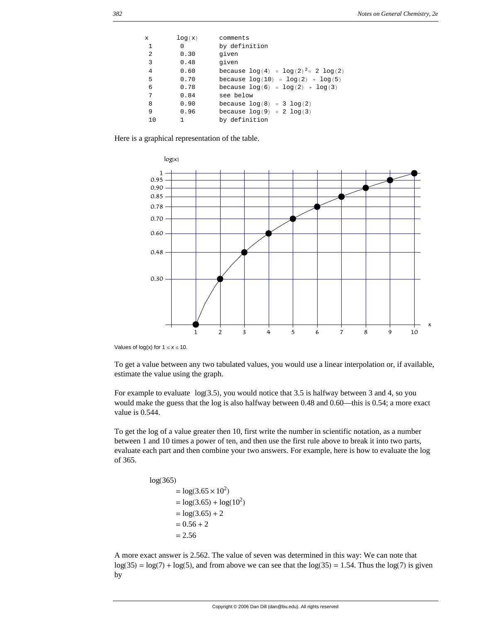| X  | log(x) | comments                                  |
|----|--------|-------------------------------------------|
| -1 | 0      | by definition                             |
| 2  | 0.30   | given                                     |
| 3  | 0.48   | given                                     |
| 4  | 0.60   | because $\log(4) = \log(2)^2 = 2 \log(2)$ |
| 5  | 0.70   | because $log(10) = log(2) + log(5)$       |
| 6  | 0.78   | because $log(6) = log(2) + log(3)$        |
| 7  | 0.84   | see below                                 |
| 8  | 0.90   | because $log(8) = 3 log(2)$               |
| 9  | 0.96   | because $log(9) = 2 log(3)$               |
| 10 |        | by definition                             |

Here is a graphical representation of the table.



Values of  $log(x)$  for  $1 \le x \le 10$ .

To get a value between any two tabulated values, you would use a linear interpolation or, if available, estimate the value using the graph.

For example to evaluate  $log(3.5)$ , you would notice that 3.5 is halfway between 3 and 4, so you would make the guess that the log is also halfway between 0.48 and 0.60—this is 0.54; a more exact value is 0.544.

To get the log of a value greater then 10, first write the number in scientific notation, as a number between 1 and 10 times a power of ten, and then use the first rule above to break it into two parts, evaluate each part and then combine your two answers. For example, here is how to evaluate the log of 365.

```
log(365)= \log(3.65 \times 10^2)= \log(3.65) + \log(10^2)= log(3.65) + 2
= 0.56 + 2= 2.56
```
A more exact answer is 2.562. The value of seven was determined in this way: We can note that  $log(35) = log(7) + log(5)$ , and from above we can see that the  $log(35) = 1.54$ . Thus the  $log(7)$  is given by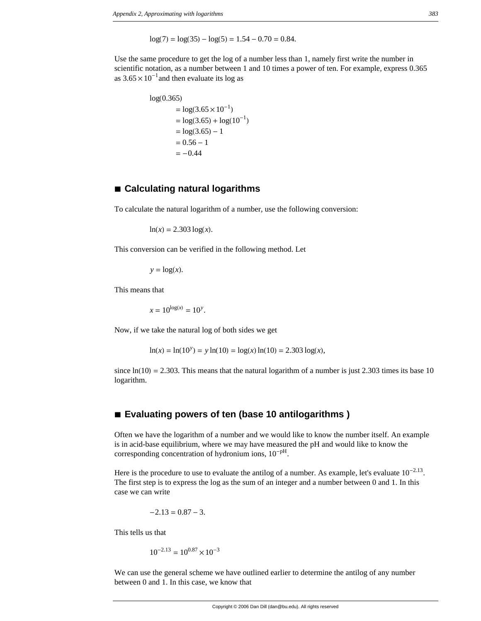$log(7) = log(35) - log(5) = 1.54 - 0.70 = 0.84.$ 

Use the same procedure to get the log of a number less than 1, namely first write the number in scientific notation, as a number between 1 and 10 times a power of ten. For example, express 0.365 as  $3.65 \times 10^{-1}$  and then evaluate its log as

```
log(0.365)= \log(3.65 \times 10^{-1})= \log(3.65) + \log(10^{-1})= log(3.65) - 1
 = 0.56 - 1=-0.44
```
#### **à Calculating natural logarithms**

To calculate the natural logarithm of a number, use the following conversion:

 $ln(x) = 2.303 log(x)$ .

This conversion can be verified in the following method. Let

 $y = log(x)$ .

This means that

 $x = 10^{\log(x)} = 10^y$ .

Now, if we take the natural log of both sides we get

 $\ln(x) = \ln(10^y) = y \ln(10) = \log(x) \ln(10) = 2.303 \log(x)$ ,

since  $ln(10) = 2.303$ . This means that the natural logarithm of a number is just 2.303 times its base 10 logarithm.

# ■ **Evaluating powers of ten (base 10 antilogarithms)**

Often we have the logarithm of a number and we would like to know the number itself. An example is in acid-base equilibrium, where we may have measured the pH and would like to know the corresponding concentration of hydronium ions,  $10^{-pH}$ .

Here is the procedure to use to evaluate the antilog of a number. As example, let's evaluate  $10^{-2.13}$ . The first step is to express the log as the sum of an integer and a number between 0 and 1. In this case we can write

$$
-2.13 = 0.87 - 3.
$$

This tells us that

 $10^{-2.13} = 10^{0.87} \times 10^{-3}$ 

We can use the general scheme we have outlined earlier to determine the antilog of any number between 0 and 1. In this case, we know that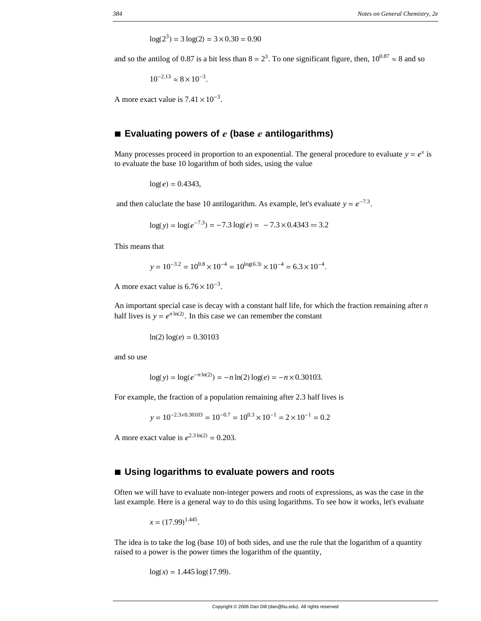$log(2^3) = 3 log(2) = 3 \times 0.30 = 0.90$ 

and so the antilog of 0.87 is a bit less than  $8 = 2<sup>3</sup>$ . To one significant figure, then,  $10<sup>0.87</sup> \approx 8$  and so

$$
10^{-2.13} \approx 8 \times 10^{-3}.
$$

A more exact value is  $7.41 \times 10^{-3}$ .

#### ■ **Evaluating powers of**  $\epsilon$  (base  $\epsilon$  antilogarithms)

Many processes proceed in proportion to an exponential. The general procedure to evaluate  $y = e^x$  is to evaluate the base 10 logarithm of both sides, using the value

 $log(e) = 0.4343$ ,

and then caluclate the base 10 antilogarithm. As example, let's evaluate  $y = e^{-7.3}$ .

$$
log(y) = log(e^{-7.3}) = -7.3 log(e) = -7.3 \times 0.4343 = 3.2
$$

This means that

$$
y = 10^{-3.2} = 10^{0.8} \times 10^{-4} = 10^{\log(6.3)} \times 10^{-4} = 6.3 \times 10^{-4}.
$$

A more exact value is  $6.76 \times 10^{-3}$ .

An important special case is decay with a constant half life, for which the fraction remaining after *n* half lives is  $y = e^{n \ln(2)}$ . In this case we can remember the constant

 $ln(2) log(e) = 0.30103$ 

and so use

$$
\log(y) = \log(e^{-n\ln(2)}) = -n\ln(2)\log(e) = -n \times 0.30103.
$$

For example, the fraction of a population remaining after 2.3 half lives is

$$
y = 10^{-2.3 \times 0.30103} = 10^{-0.7} = 10^{0.3} \times 10^{-1} = 2 \times 10^{-1} = 0.2
$$

A more exact value is  $e^{2.3 \ln(2)} = 0.203$ .

#### ■ Using logarithms to evaluate powers and roots

Often we will have to evaluate non-integer powers and roots of expressions, as was the case in the last example. Here is a general way to do this using logarithms. To see how it works, let's evaluate

$$
x = (17.99)^{1.445}.
$$

The idea is to take the log (base 10) of both sides, and use the rule that the logarithm of a quantity raised to a power is the power times the logarithm of the quantity,

 $log(x) = 1.445 log(17.99)$ .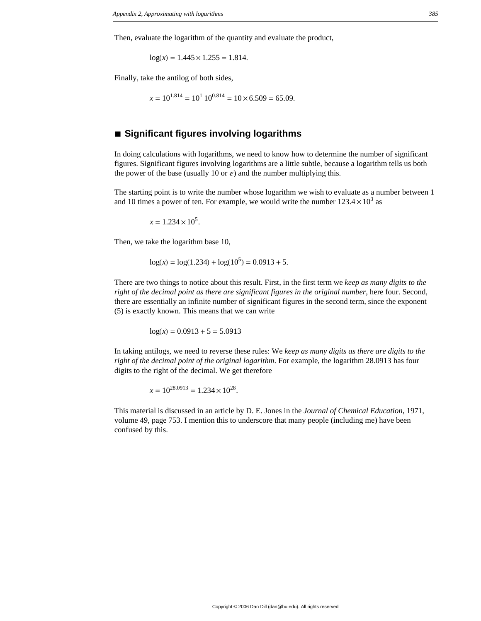Then, evaluate the logarithm of the quantity and evaluate the product,

 $log(x) = 1.445 \times 1.255 = 1.814.$ 

Finally, take the antilog of both sides,

$$
x = 10^{1.814} = 10^1 10^{0.814} = 10 \times 6.509 = 65.09.
$$

# **à Significant figures involving logarithms**

In doing calculations with logarithms, we need to know how to determine the number of significant figures. Significant figures involving logarithms are a little subtle, because a logarithm tells us both the power of the base (usually 10 or  $e$ ) and the number multiplying this.

The starting point is to write the number whose logarithm we wish to evaluate as a number between 1 and 10 times a power of ten. For example, we would write the number  $123.4 \times 10^3$  as

 $x = 1.234 \times 10^5$ .

Then, we take the logarithm base 10,

$$
\log(x) = \log(1.234) + \log(10^5) = 0.0913 + 5.
$$

There are two things to notice about this result. First, in the first term we *keep as many digits to the right of the decimal point as there are significant figures in the original number*, here four. Second, there are essentially an infinite number of significant figures in the second term, since the exponent (5) is exactly known. This means that we can write

 $log(x) = 0.0913 + 5 = 5.0913$ 

In taking antilogs, we need to reverse these rules: We *keep as many digits as there are digits to the right of the decimal point of the original logarithm*. For example, the logarithm 28.0913 has four digits to the right of the decimal. We get therefore

$$
x = 10^{28.0913} = 1.234 \times 10^{28}.
$$

This material is discussed in an article by D. E. Jones in the *Journal of Chemical Education*, 1971, volume 49, page 753. I mention this to underscore that many people (including me) have been confused by this.